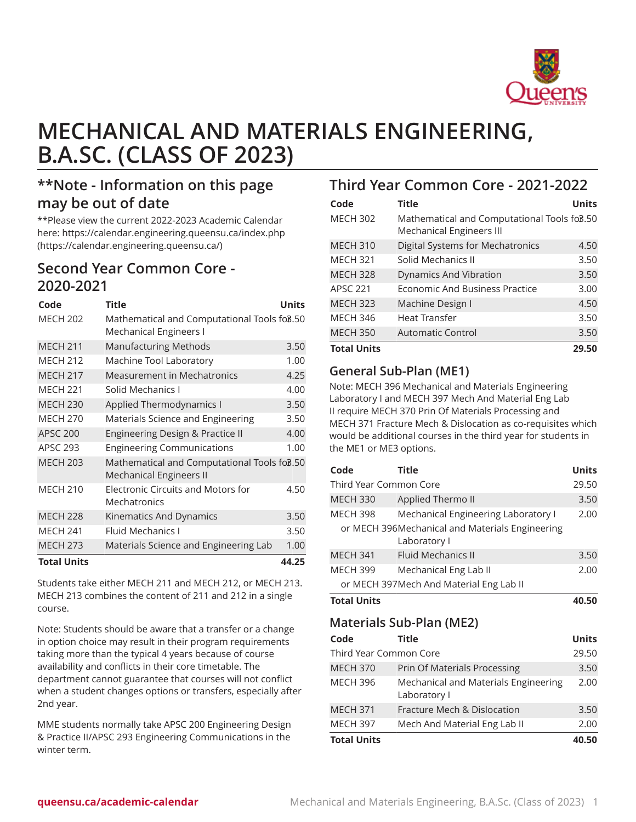

# **MECHANICAL AND MATERIALS ENGINEERING, B.A.SC. (CLASS OF 2023)**

# **\*\*Note - Information on this page may be out of date**

\*\*Please view the current 2022-2023 Academic Calendar here: [https://calendar.engineering.queensu.ca/index.php](https://calendar.engineering.queensu.ca/) ([https://calendar.engineering.queensu.ca/\)](https://calendar.engineering.queensu.ca/)

# **Second Year Common Core - 2020-2021**

| Code               | <b>Title</b>                                                                              | <b>Units</b> |
|--------------------|-------------------------------------------------------------------------------------------|--------------|
| <b>MECH 202</b>    | Mathematical and Computational Tools fo <sub>8</sub> .50<br><b>Mechanical Engineers I</b> |              |
| <b>MECH 211</b>    | <b>Manufacturing Methods</b>                                                              | 3.50         |
| <b>MECH 212</b>    | Machine Tool Laboratory                                                                   | 1.00         |
| <b>MECH 217</b>    | <b>Measurement in Mechatronics</b>                                                        | 4.25         |
| <b>MECH 221</b>    | Solid Mechanics I                                                                         | 4.00         |
| <b>MECH 230</b>    | Applied Thermodynamics I                                                                  | 3.50         |
| <b>MECH 270</b>    | Materials Science and Engineering                                                         | 3.50         |
| <b>APSC 200</b>    | Engineering Design & Practice II                                                          | 4.00         |
| <b>APSC 293</b>    | <b>Engineering Communications</b>                                                         | 1.00         |
| <b>MECH 203</b>    | Mathematical and Computational Tools fo3.50<br><b>Mechanical Engineers II</b>             |              |
| <b>MECH 210</b>    | <b>Electronic Circuits and Motors for</b><br>Mechatronics                                 | 4.50         |
| <b>MECH 228</b>    | Kinematics And Dynamics                                                                   | 3.50         |
| <b>MECH 241</b>    | <b>Fluid Mechanics I</b>                                                                  | 3.50         |
| <b>MECH 273</b>    | Materials Science and Engineering Lab                                                     | 1.00         |
| <b>Total Units</b> |                                                                                           | 44.25        |

Students take either MECH 211 and MECH 212, or MECH 213. MECH 213 combines the content of 211 and 212 in a single course.

Note: Students should be aware that a transfer or a change in option choice may result in their program requirements taking more than the typical 4 years because of course availability and conflicts in their core timetable. The department cannot guarantee that courses will not conflict when a student changes options or transfers, especially after 2nd year.

MME students normally take APSC 200 Engineering Design & Practice II/APSC 293 Engineering Communications in the winter term.

# **Third Year Common Core - 2021-2022**

| Code               | <b>Title</b>                                                                   | <b>Units</b> |
|--------------------|--------------------------------------------------------------------------------|--------------|
| <b>MECH 302</b>    | Mathematical and Computational Tools fo3.50<br><b>Mechanical Engineers III</b> |              |
| <b>MECH 310</b>    | Digital Systems for Mechatronics                                               | 4.50         |
| <b>MECH 321</b>    | Solid Mechanics II                                                             | 3.50         |
| <b>MECH 328</b>    | Dynamics And Vibration                                                         | 3.50         |
| <b>APSC 221</b>    | Economic And Business Practice                                                 | 3.00         |
| <b>MECH 323</b>    | Machine Design I                                                               | 4.50         |
| <b>MECH 346</b>    | Heat Transfer                                                                  | 3.50         |
| <b>MECH 350</b>    | Automatic Control                                                              | 3.50         |
| <b>Total Units</b> |                                                                                | 29.50        |

# **General Sub-Plan (ME1)**

Note: MECH 396 Mechanical and Materials Engineering Laboratory I and MECH 397 Mech And Material Eng Lab II require MECH 370 Prin Of Materials Processing and MECH 371 Fracture Mech & Dislocation as co-requisites which would be additional courses in the third year for students in the ME1 or ME3 options.

| Code                   | Title                                                           | <b>Units</b> |
|------------------------|-----------------------------------------------------------------|--------------|
| Third Year Common Core |                                                                 | 29.50        |
| <b>MECH 330</b>        | Applied Thermo II                                               | 3.50         |
| <b>MECH 398</b>        | Mechanical Engineering Laboratory I                             | 2.00         |
|                        | or MECH 396Mechanical and Materials Engineering<br>Laboratory I |              |
| <b>MECH 341</b>        | <b>Fluid Mechanics II</b>                                       | 3.50         |
| <b>MECH 399</b>        | Mechanical Eng Lab II                                           | 2.00         |
|                        | or MECH 397Mech And Material Eng Lab II                         |              |
| <b>Total Units</b>     |                                                                 | 40.50        |
|                        |                                                                 |              |
|                        | Materials Sub-Plan (ME2)                                        |              |
| Code                   | <b>Title</b>                                                    | <b>Units</b> |
| Third Year Common Core |                                                                 | 29.50        |
| <b>MECH 370</b>        | Prin Of Materials Processing                                    | 3.50         |
| <b>MECH 396</b>        | Mechanical and Materials Engineering<br>Laboratory I            | 2.00         |
| <b>MECH 371</b>        | Fracture Mech & Dislocation                                     | 3.50         |
| <b>MECH 397</b>        | Mech And Material Eng Lab II                                    | 2.00         |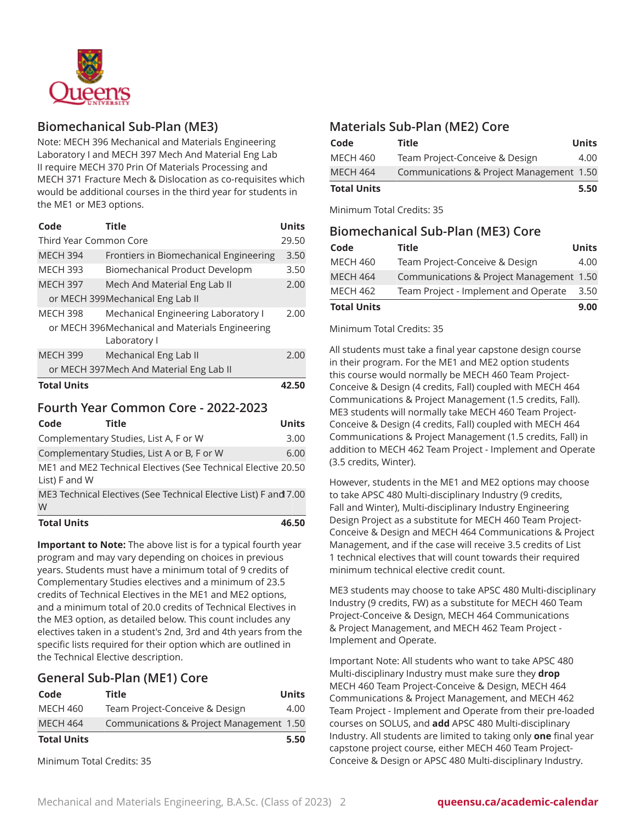

### **Biomechanical Sub-Plan (ME3)**

Note: MECH 396 Mechanical and Materials Engineering Laboratory I and MECH 397 Mech And Material Eng Lab II require MECH 370 Prin Of Materials Processing and MECH 371 Fracture Mech & Dislocation as co-requisites which would be additional courses in the third year for students in the ME1 or ME3 options.

| Code                                                            | <b>Title</b>                             | <b>Units</b> |
|-----------------------------------------------------------------|------------------------------------------|--------------|
| Third Year Common Core                                          |                                          | 29.50        |
| <b>MECH 394</b>                                                 | Frontiers in Biomechanical Engineering   | 3.50         |
| <b>MECH 393</b>                                                 | Biomechanical Product Developm           | 3.50         |
| <b>MECH 397</b>                                                 | Mech And Material Eng Lab II             | 2.00         |
|                                                                 | or MECH 399Mechanical Eng Lab II         |              |
| <b>MECH 398</b>                                                 | Mechanical Engineering Laboratory I      | 2.00         |
| or MECH 396Mechanical and Materials Engineering<br>Laboratory I |                                          |              |
| <b>MECH 399</b>                                                 | Mechanical Eng Lab II                    | 2.00         |
|                                                                 | or MECH 397 Mech And Material Eng Lab II |              |
| <b>Total Units</b>                                              |                                          | 42.50        |

### **Fourth Year Common Core - 2022-2023**

| Code               | <b>Title</b>                               |                                                                  | <b>Units</b> |
|--------------------|--------------------------------------------|------------------------------------------------------------------|--------------|
|                    | Complementary Studies, List A, F or W      |                                                                  | 3.00         |
|                    | Complementary Studies, List A or B, F or W |                                                                  | 6.00         |
| List) F and W      |                                            | ME1 and ME2 Technical Electives (See Technical Elective 20.50    |              |
| W                  |                                            | ME3 Technical Electives (See Technical Elective List) F and 7.00 |              |
| <b>Total Units</b> |                                            |                                                                  | 46.50        |

**Important to Note:** The above list is for a typical fourth year program and may vary depending on choices in previous years. Students must have a minimum total of 9 credits of Complementary Studies electives and a minimum of 23.5 credits of Technical Electives in the ME1 and ME2 options, and a minimum total of 20.0 credits of Technical Electives in the ME3 option, as detailed below. This count includes any electives taken in a student's 2nd, 3rd and 4th years from the specific lists required for their option which are outlined in the Technical Elective description.

### **General Sub-Plan (ME1) Core**

| Code               | <b>Title</b>                             | <b>Units</b> |
|--------------------|------------------------------------------|--------------|
| MECH 460           | Team Project-Conceive & Design           | 4.00         |
| <b>MECH 464</b>    | Communications & Project Management 1.50 |              |
| <b>Total Units</b> |                                          | 5.50         |

Minimum Total Credits: 35

### **Materials Sub-Plan (ME2) Core**

| Code               | Title                                    | Units |
|--------------------|------------------------------------------|-------|
| <b>MECH 460</b>    | Team Project-Conceive & Design           | 4.00  |
| <b>MECH 464</b>    | Communications & Project Management 1.50 |       |
| <b>Total Units</b> |                                          | 5.50  |

Minimum Total Credits: 35

| <b>Biomechanical Sub-Plan (ME3) Core</b> |                                          |              |  |
|------------------------------------------|------------------------------------------|--------------|--|
| Code                                     | Title                                    | <b>Units</b> |  |
| <b>MECH 460</b>                          | Team Project-Conceive & Design           | 4.00         |  |
| <b>MECH 464</b>                          | Communications & Project Management 1.50 |              |  |
| <b>MECH 462</b>                          | Team Project - Implement and Operate     | 3.50         |  |
| <b>Total Units</b>                       |                                          | 9.00         |  |

#### Minimum Total Credits: 35

All students must take a final year capstone design course in their program. For the ME1 and ME2 option students this course would normally be MECH 460 Team Project-Conceive & Design (4 credits, Fall) coupled with MECH 464 Communications & Project Management (1.5 credits, Fall). ME3 students will normally take MECH 460 Team Project-Conceive & Design (4 credits, Fall) coupled with MECH 464 Communications & Project Management (1.5 credits, Fall) in addition to MECH 462 Team Project - Implement and Operate (3.5 credits, Winter).

However, students in the ME1 and ME2 options may choose to take APSC 480 Multi-disciplinary Industry (9 credits, Fall and Winter), Multi-disciplinary Industry Engineering Design Project as a substitute for MECH 460 Team Project-Conceive & Design and MECH 464 Communications & Project Management, and if the case will receive 3.5 credits of List 1 technical electives that will count towards their required minimum technical elective credit count.

ME3 students may choose to take APSC 480 Multi-disciplinary Industry (9 credits, FW) as a substitute for MECH 460 Team Project-Conceive & Design, MECH 464 Communications & Project Management, and MECH 462 Team Project - Implement and Operate.

Important Note: All students who want to take APSC 480 Multi-disciplinary Industry must make sure they **drop** MECH 460 Team Project-Conceive & Design, MECH 464 Communications & Project Management, and MECH 462 Team Project - Implement and Operate from their pre-loaded courses on SOLUS, and **add** APSC 480 Multi-disciplinary Industry. All students are limited to taking only **one** final year capstone project course, either MECH 460 Team Project-Conceive & Design or APSC 480 Multi-disciplinary Industry.